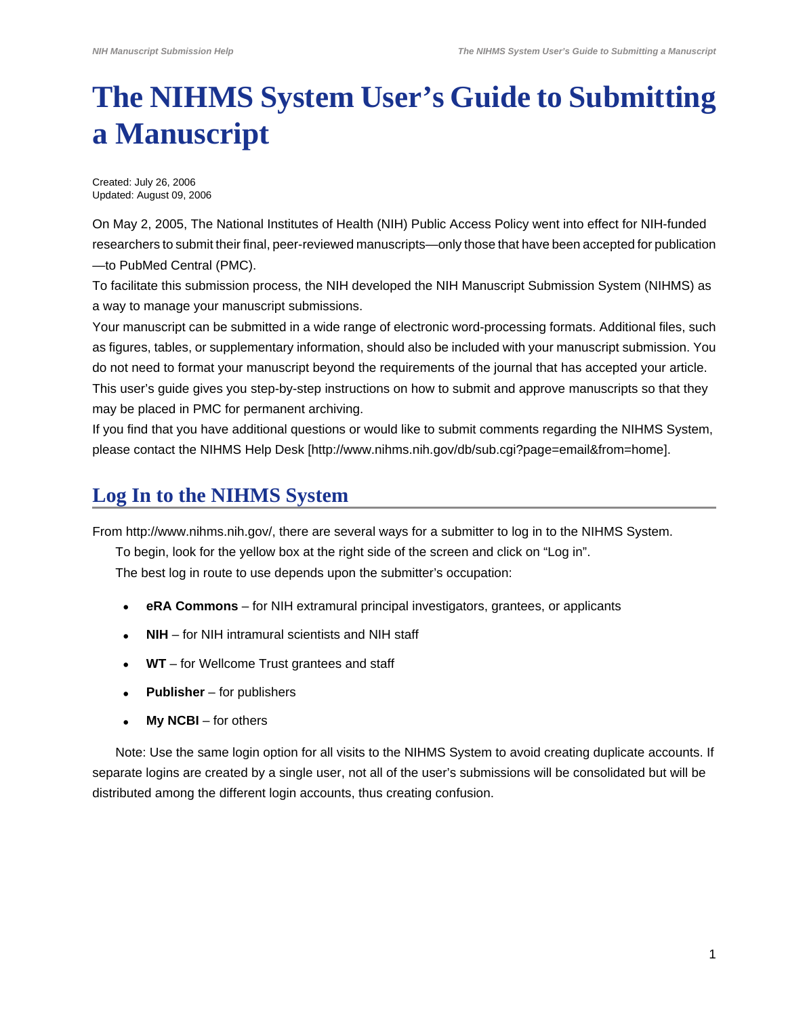# <span id="page-0-0"></span>**The NIHMS System User's Guide to Submitting a Manuscript**

Created: July 26, 2006 Updated: August 09, 2006

On May 2, 2005, The National Institutes of Health (NIH) Public Access Policy went into effect for NIH-funded researchers to submit their final, peer-reviewed manuscripts—only those that have been accepted for publication —to PubMed Central (PMC).

To facilitate this submission process, the NIH developed the NIH Manuscript Submission System (NIHMS) as a way to manage your manuscript submissions.

Your manuscript can be submitted in a wide range of electronic word-processing formats. Additional files, such as figures, tables, or supplementary information, should also be included with your manuscript submission. You do not need to format your manuscript beyond the requirements of the journal that has accepted your article. This user's guide gives you step-by-step instructions on how to submit and approve manuscripts so that they may be placed in PMC for permanent archiving.

If you find that you have additional questions or would like to submit comments regarding the NIHMS System, please contact the [NIHMS Help Desk](http://www.nihms.nih.gov/db/sub.cgi?page=email&from=home) [http://www.nihms.nih.gov/db/sub.cgi?page=email&from=home].

## **Log In to the NIHMS System**

From [http://www.nihms.nih.gov/](http://www.nihms.nih.gov), there are several ways for a submitter to log in to the NIHMS System.

To begin, look for the yellow box at the right side of the screen and click on "Log in".

The best log in route to use depends upon the submitter's occupation:

- **• eRA Commons** for NIH extramural principal investigators, grantees, or applicants
- **• NIH** for NIH intramural scientists and NIH staff
- **• WT** for Wellcome Trust grantees and staff
- **• Publisher** for publishers
- **• My NCBI** for others

Note: Use the same login option for all visits to the NIHMS System to avoid creating duplicate accounts. If separate logins are created by a single user, not all of the user's submissions will be consolidated but will be distributed among the different login accounts, thus creating confusion.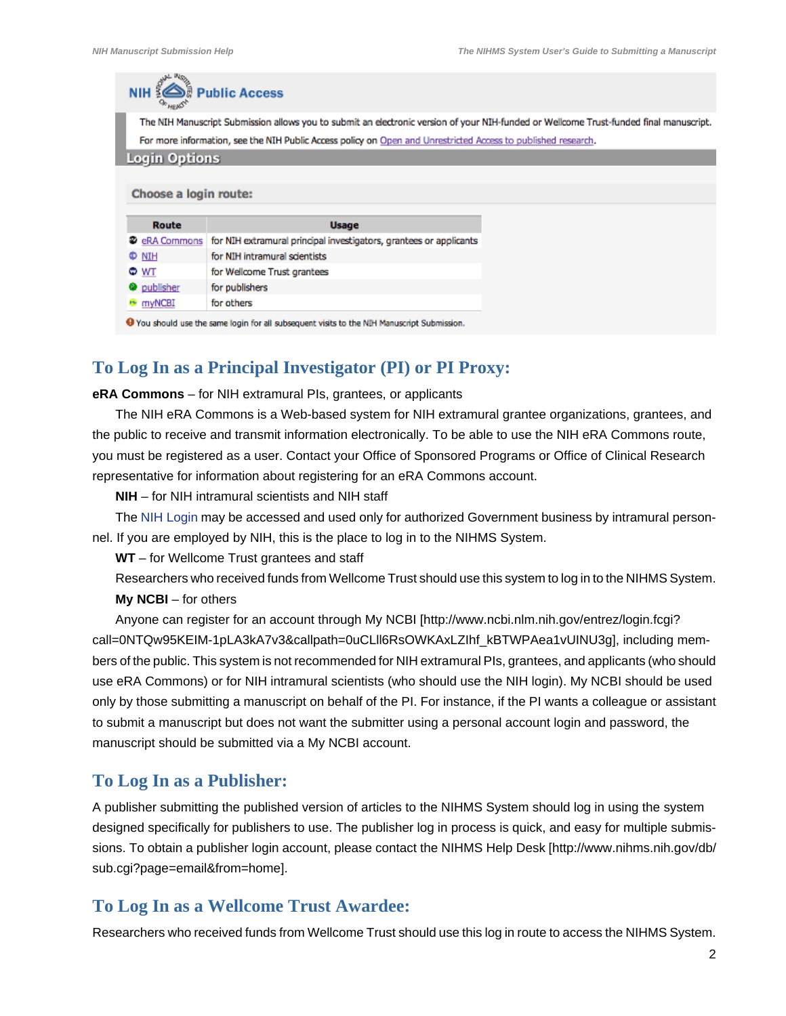| $NIH$ 3               | Public Access                                                                                                                          |  |
|-----------------------|----------------------------------------------------------------------------------------------------------------------------------------|--|
|                       | The NIH Manuscript Submission allows you to submit an electronic version of your NIH-funded or Wellcome Trust-funded final manuscript. |  |
|                       | For more information, see the NIH Public Access policy on Open and Unrestricted Access to published research.                          |  |
| <b>Login Options</b>  |                                                                                                                                        |  |
|                       |                                                                                                                                        |  |
|                       |                                                                                                                                        |  |
| Choose a login route: |                                                                                                                                        |  |
|                       |                                                                                                                                        |  |
| Route                 | <b>Usage</b>                                                                                                                           |  |
| <b>2</b> eRA Commons  | for NIH extramural principal investigators, grantees or applicants                                                                     |  |
| <b>D NIH</b>          | for NIH intramural scientists                                                                                                          |  |
| © WT                  | for Wellcome Trust grantees                                                                                                            |  |
| <b>Q</b> publisher    | for publishers                                                                                                                         |  |

#### **To Log In as a Principal Investigator (PI) or PI Proxy:**

#### **eRA Commons** – for NIH extramural PIs, grantees, or applicants

The NIH eRA Commons is a Web-based system for NIH extramural grantee organizations, grantees, and the public to receive and transmit information electronically. To be able to use the NIH eRA Commons route, you must be registered as a user. Contact your Office of Sponsored Programs or Office of Clinical Research representative for information about registering for an eRA Commons account.

**NIH** – for NIH intramural scientists and NIH staff

The NIH Login may be accessed and used only for authorized Government business by intramural personnel. If you are employed by NIH, this is the place to log in to the NIHMS System.

**WT** – for Wellcome Trust grantees and staff

Researchers who received funds from Wellcome Trust should use this system to log in to the NIHMS System. **My NCBI** – for others

Anyone can register for an account through [My NCBI](http://www.ncbi.nlm.nih.gov/entrez/login.fcgi?call=0NTQw95KEIM-1pLA3kA7v3&callpath=0uCLll6RsOWKAxLZIhf_kBTWPAea1vUINU3g) [http://www.ncbi.nlm.nih.gov/entrez/login.fcgi? call=0NTQw95KEIM-1pLA3kA7v3&callpath=0uCLll6RsOWKAxLZIhf\_kBTWPAea1vUINU3g], including members of the public. This system is not recommended for NIH extramural PIs, grantees, and applicants (who should use eRA Commons) or for NIH intramural scientists (who should use the NIH login). My NCBI should be used only by those submitting a manuscript on behalf of the PI. For instance, if the PI wants a colleague or assistant to submit a manuscript but does not want the submitter using a personal account login and password, the manuscript should be submitted via a My NCBI account.

#### **To Log In as a Publisher:**

A publisher submitting the published version of articles to the NIHMS System should log in using the system designed specifically for publishers to use. The publisher log in process is quick, and easy for multiple submissions. To obtain a publisher login account, please contact the [NIHMS Help Desk](http://www.nihms.nih.gov/db/sub.cgi?page=email&from=home) [http://www.nihms.nih.gov/db/ sub.cgi?page=email&from=home].

#### **To Log In as a Wellcome Trust Awardee:**

Researchers who received funds from Wellcome Trust should use this log in route to access the NIHMS System.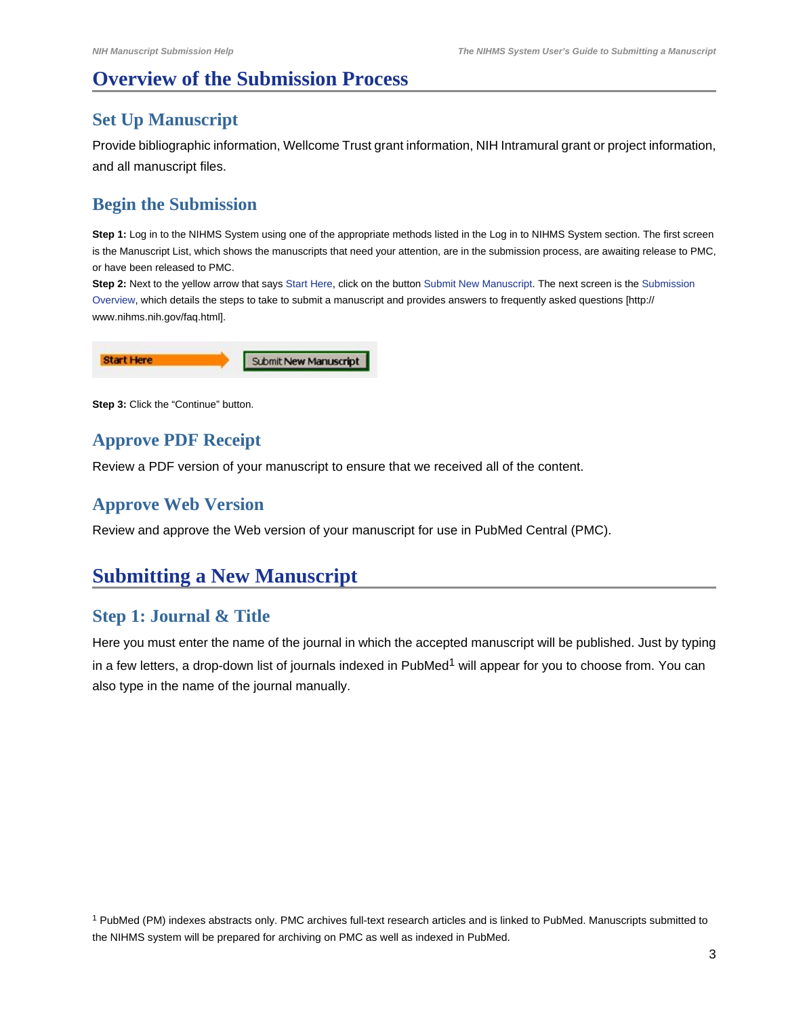# **Overview of the Submission Process**

## **Set Up Manuscript**

Provide bibliographic information, Wellcome Trust grant information, NIH Intramural grant or project information, and all manuscript files.

## **Begin the Submission**

**Step 1:** Log in to the NIHMS System using one of the appropriate methods listed in the [Log in to NIHMS System](#page-0-0) section. The first screen is the Manuscript List, which shows the manuscripts that need your attention, are in the submission process, are awaiting release to PMC, or have been released to PMC.

**Step 2:** Next to the yellow arrow that says Start Here, click on the button Submit New Manuscript. The next screen is the Submission Overview, which details the steps to take to submit a manuscript and provides answers to [frequently asked questions](http://www.nihms.nih.gov/faq.html) [http:// www.nihms.nih.gov/faq.html].

| <b>Start Here</b> | Submit New Manuscript |
|-------------------|-----------------------|
|-------------------|-----------------------|

**Step 3: Click the "Continue" button.** 

## **Approve PDF Receipt**

Review a PDF version of your manuscript to ensure that we received all of the content.

## **Approve Web Version**

Review and approve the Web version of your manuscript for use in PubMed Central (PMC).

## **Submitting a New Manuscript**

## **Step 1: Journal & Title**

Here you must enter the name of the journal in which the accepted manuscript will be published. Just by typing in a few letters, a drop-down list of journals indexed in PubMed<sup>1</sup> will appear for you to choose from. You can also type in the name of the journal manually.

<sup>1</sup> PubMed (PM) indexes abstracts only. PMC archives full-text research articles and is linked to PubMed. Manuscripts submitted to the NIHMS system will be prepared for archiving on PMC as well as indexed in PubMed.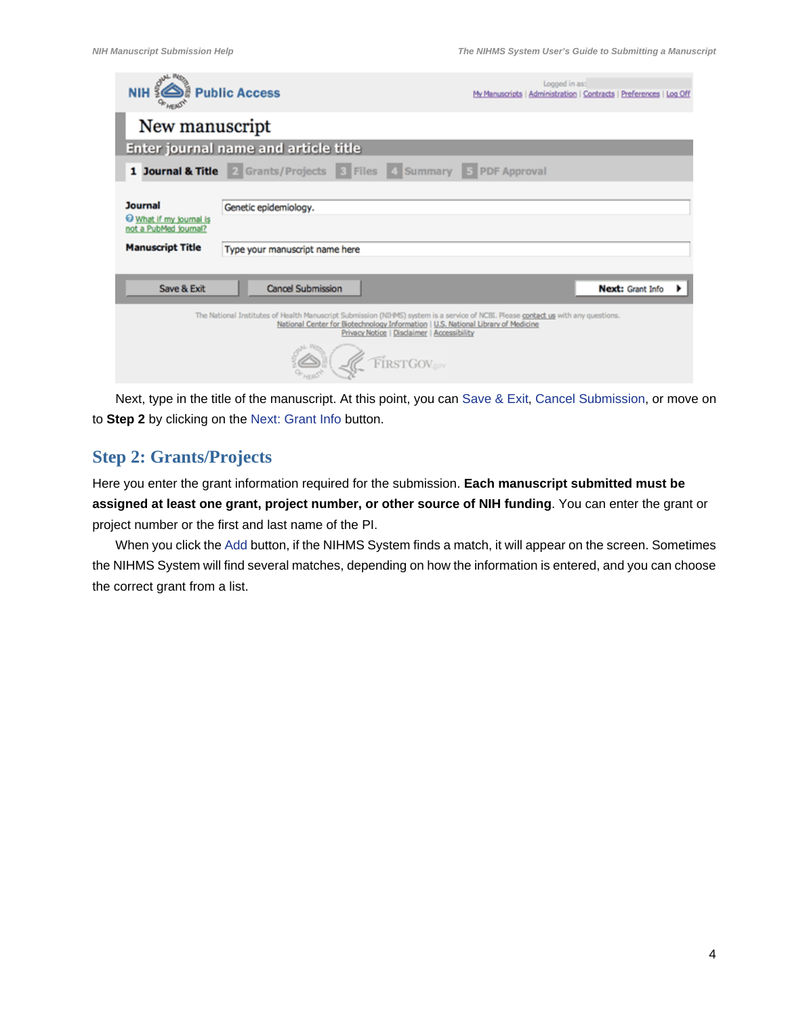| <b>NIH SAIR Public Access</b>                                                        |                                                                                                                                                                                                                         |                                                           | Logged in as: | My Manuscripts   Administration   Contracts   Preferences   Log Off |  |
|--------------------------------------------------------------------------------------|-------------------------------------------------------------------------------------------------------------------------------------------------------------------------------------------------------------------------|-----------------------------------------------------------|---------------|---------------------------------------------------------------------|--|
| New manuscript                                                                       |                                                                                                                                                                                                                         |                                                           |               |                                                                     |  |
|                                                                                      | <b>Enter journal name and article title</b>                                                                                                                                                                             |                                                           |               |                                                                     |  |
|                                                                                      | 1 Journal & Title 2 Grants/Projects 3 Files 4 Summary 5 PDF Approval                                                                                                                                                    |                                                           |               |                                                                     |  |
| Journal<br>What if my journal is<br>not a PubMed journal?<br><b>Manuscript Title</b> | Genetic epidemiology.<br>Type your manuscript name here                                                                                                                                                                 |                                                           |               |                                                                     |  |
| Save & Exit                                                                          | Cancel Submission                                                                                                                                                                                                       |                                                           |               | Next: Grant Info                                                    |  |
|                                                                                      | The National Institutes of Health Manuscript Submission (NIHMS) system is a service of NCBI. Please contact us with any questions.<br>National Center for Biotechnology Information   U.S. National Library of Medicine | Privacy Notice   Disclaimer   Accessibility<br>RSTGOV.gov |               |                                                                     |  |

Next, type in the title of the manuscript. At this point, you can Save & Exit, Cancel Submission, or move on to **Step 2** by clicking on the Next: Grant Info button.

#### **Step 2: Grants/Projects**

Here you enter the grant information required for the submission. **Each manuscript submitted must be assigned at least one grant, project number, or other source of NIH funding**. You can enter the grant or project number or the first and last name of the PI.

When you click the Add button, if the NIHMS System finds a match, it will appear on the screen. Sometimes the NIHMS System will find several matches, depending on how the information is entered, and you can choose the correct grant from a list.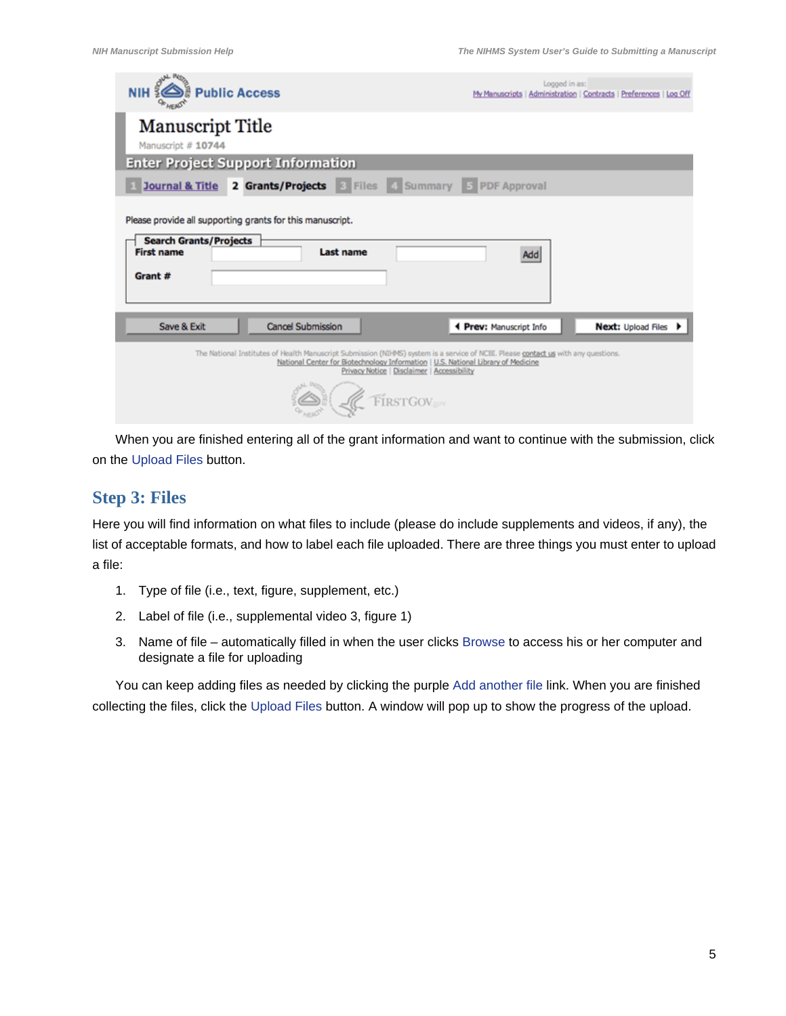| <b>JAL MOD</b><br><b>NIH &amp; Public Access</b>                                                                                                                                                                                                                                   | Logged in as:<br>My Manuscripts   Administration   Contracts   Preferences   Log Off |
|------------------------------------------------------------------------------------------------------------------------------------------------------------------------------------------------------------------------------------------------------------------------------------|--------------------------------------------------------------------------------------|
| <b>Manuscript Title</b><br>Manuscript # 10744                                                                                                                                                                                                                                      |                                                                                      |
| <b>Enter Project Support Information</b>                                                                                                                                                                                                                                           |                                                                                      |
| Journal & Title 2 Grants/Projects & Files & Summary 5 PDF Approval                                                                                                                                                                                                                 |                                                                                      |
| Please provide all supporting grants for this manuscript.<br><b>Search Grants/Projects</b><br><b>First name</b><br>Last name<br>Grant #                                                                                                                                            | Add                                                                                  |
| Save & Exit<br><b>Cancel Submission</b>                                                                                                                                                                                                                                            | Next: Upload Files $\blacktriangleright$<br>4 Prev: Manuscript Info                  |
| The National Institutes of Health Manuscript Submission (NIHMS) system is a service of NCBI. Please contact us with any questions.<br>National Center for Biotechnology Information   U.S. National Library of Medicine<br>Privacy Notice   Disclaimer   Accessibility<br>FIRSTGOV |                                                                                      |

When you are finished entering all of the grant information and want to continue with the submission, click on the Upload Files button.

#### **Step 3: Files**

Here you will find information on what files to include (please do include supplements and videos, if any), the list of acceptable formats, and how to label each file uploaded. There are three things you must enter to upload a file:

- 1. Type of file (i.e., text, figure, supplement, etc.)
- 2. Label of file (i.e., supplemental video 3, figure 1)
- 3. Name of file automatically filled in when the user clicks Browse to access his or her computer and designate a file for uploading

You can keep adding files as needed by clicking the purple Add another file link. When you are finished collecting the files, click the Upload Files button. A window will pop up to show the progress of the upload.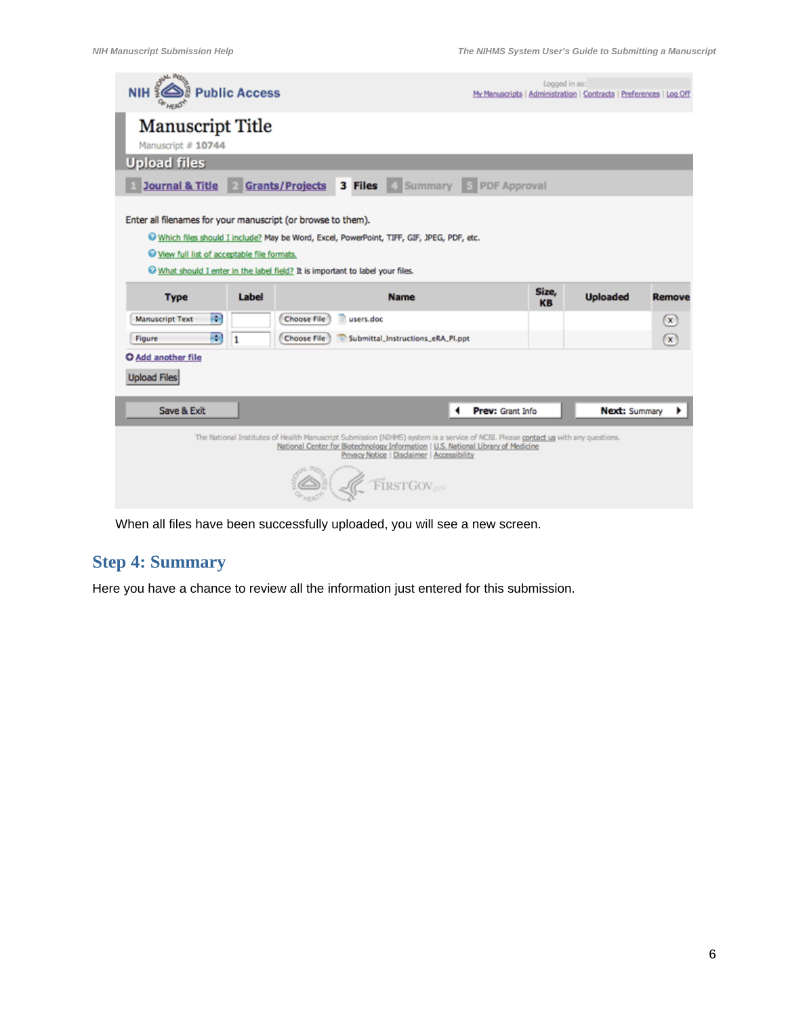| <b>NIH</b>                                                                                                                                                                                                                                                                                          | <b>Public Access</b> |                    |           |                                   |                  | Logged in as:<br>My Manuscripts   Administration   Contracts   Preferences   Log Off |                 |                      |                |
|-----------------------------------------------------------------------------------------------------------------------------------------------------------------------------------------------------------------------------------------------------------------------------------------------------|----------------------|--------------------|-----------|-----------------------------------|------------------|--------------------------------------------------------------------------------------|-----------------|----------------------|----------------|
| <b>Manuscript Title</b><br>Manuscript # 10744                                                                                                                                                                                                                                                       |                      |                    |           |                                   |                  |                                                                                      |                 |                      |                |
| <b>Upload files</b>                                                                                                                                                                                                                                                                                 |                      |                    |           |                                   |                  |                                                                                      |                 |                      |                |
| Journal & Title 2 Grants/Projects 3 Files 4 Summary 5 PDF Approval                                                                                                                                                                                                                                  |                      |                    |           |                                   |                  |                                                                                      |                 |                      |                |
| Enter all filenames for your manuscript (or browse to them).<br>Which files should I include? May be Word, Excel, PowerPoint, TIFF, GIF, JPEG, PDF, etc.<br><sup>©</sup> View full list of acceptable file formats.<br>What should I enter in the label field? It is important to label your files. |                      |                    |           |                                   |                  |                                                                                      |                 |                      |                |
| <b>Type</b>                                                                                                                                                                                                                                                                                         | Label                |                    |           | <b>Name</b>                       |                  | Size,<br><b>KB</b>                                                                   | <b>Uploaded</b> |                      | <b>Remove</b>  |
|                                                                                                                                                                                                                                                                                                     |                      |                    |           |                                   |                  |                                                                                      |                 |                      |                |
| 團<br><b>Manuscript Text</b>                                                                                                                                                                                                                                                                         |                      | <b>Choose File</b> | users.doc |                                   |                  |                                                                                      |                 |                      | $\mathbf{x}$   |
| R<br>Figure                                                                                                                                                                                                                                                                                         | 1                    | <b>Choose File</b> |           | Submittal_Instructions_eRA_PI.ppt |                  |                                                                                      |                 |                      | $(\mathbf{x})$ |
| O Add another file                                                                                                                                                                                                                                                                                  |                      |                    |           |                                   |                  |                                                                                      |                 |                      |                |
| <b>Upload Files</b>                                                                                                                                                                                                                                                                                 |                      |                    |           |                                   |                  |                                                                                      |                 |                      |                |
| Save & Exit                                                                                                                                                                                                                                                                                         |                      |                    |           | ◀                                 | Prev: Grant Info |                                                                                      |                 | <b>Next: Summary</b> |                |

When all files have been successfully uploaded, you will see a new screen.

## **Step 4: Summary**

Here you have a chance to review all the information just entered for this submission.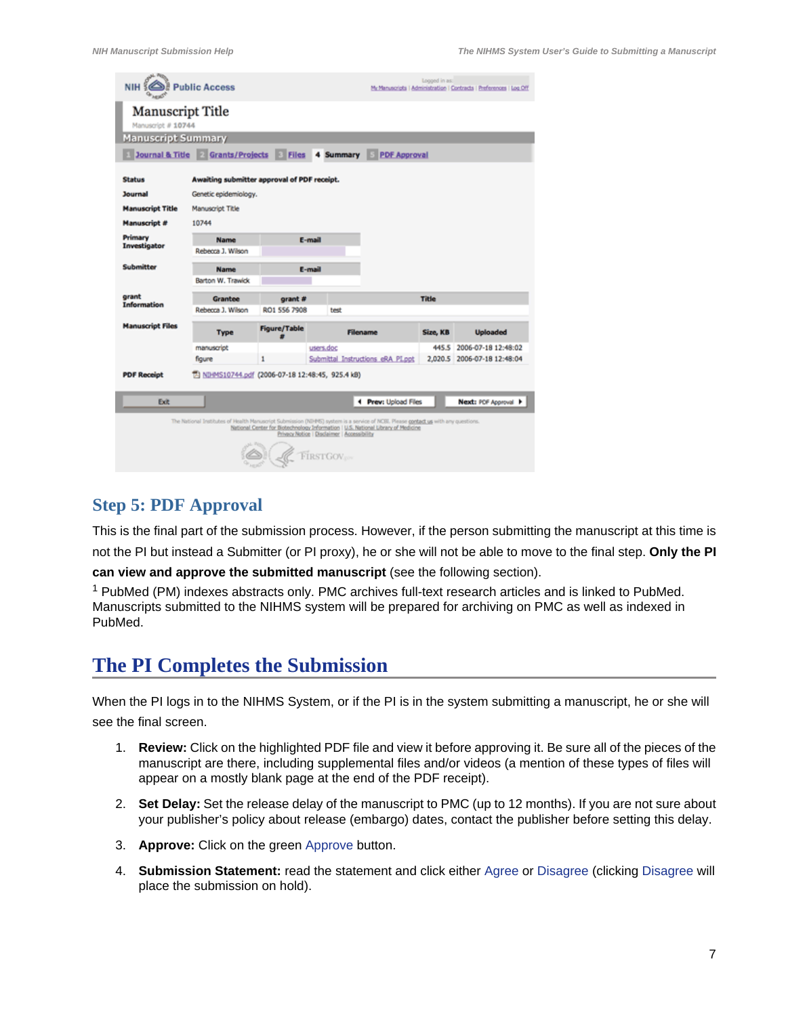| NIH &                                                      | <b>Public Access</b>                                                                                                               |                     |                                             |                                                                                   | Logged in as: | My Manuscripts   Administration   Contracts   Preferences   Log Off |
|------------------------------------------------------------|------------------------------------------------------------------------------------------------------------------------------------|---------------------|---------------------------------------------|-----------------------------------------------------------------------------------|---------------|---------------------------------------------------------------------|
| <b>Manuscript Title</b><br>Manuscript # 10744              |                                                                                                                                    |                     |                                             |                                                                                   |               |                                                                     |
| <b>Manuscript Summary</b>                                  |                                                                                                                                    |                     |                                             |                                                                                   |               |                                                                     |
| <b>Journal &amp; Title Grants/Projects Files 4 Summary</b> |                                                                                                                                    |                     |                                             | <b>E</b> PDF Approval                                                             |               |                                                                     |
|                                                            |                                                                                                                                    |                     |                                             |                                                                                   |               |                                                                     |
| <b>Status</b>                                              | Awaiting submitter approval of PDF receipt.                                                                                        |                     |                                             |                                                                                   |               |                                                                     |
| <b>Journal</b>                                             | Genetic epidemiology.                                                                                                              |                     |                                             |                                                                                   |               |                                                                     |
| <b>Manuscript Title</b>                                    | Manuscript Title                                                                                                                   |                     |                                             |                                                                                   |               |                                                                     |
| <b>Manuscript #</b>                                        | 10744                                                                                                                              |                     |                                             |                                                                                   |               |                                                                     |
| Primary                                                    | Name                                                                                                                               |                     | E-mail                                      |                                                                                   |               |                                                                     |
| Investigator                                               | Rebecca J. Wilson                                                                                                                  |                     |                                             |                                                                                   |               |                                                                     |
| Submitter                                                  | <b>Name</b>                                                                                                                        |                     | E-mail                                      |                                                                                   |               |                                                                     |
|                                                            | Barton W. Trawick                                                                                                                  |                     |                                             |                                                                                   |               |                                                                     |
| grant                                                      | Grantee                                                                                                                            | grant #             |                                             |                                                                                   | <b>Title</b>  |                                                                     |
| <b>Information</b>                                         | Rebecca J. Wilson                                                                                                                  | RO1 556 7908        | test                                        |                                                                                   |               |                                                                     |
| <b>Manuscript Files</b>                                    | <b>Type</b>                                                                                                                        | <b>Figure/Table</b> |                                             | Filename                                                                          | Size, KB      | <b>Uploaded</b>                                                     |
|                                                            | manuscript                                                                                                                         |                     | users.doc                                   |                                                                                   | 445.5         | 2006-07-18 12:48:02                                                 |
|                                                            | figure                                                                                                                             | 1                   |                                             | Submittal Instructions eRA PLoot                                                  |               | 2,020.5 2006-07-18 12:48:04                                         |
| <b>PDF Receipt</b>                                         | TA NDIMS10744.pdf (2006-07-18 12:48:45, 925.4 kB)                                                                                  |                     |                                             |                                                                                   |               |                                                                     |
| Exit                                                       |                                                                                                                                    |                     |                                             | 4 Prev: Upload Files                                                              |               | Next: PDF Approval >                                                |
|                                                            | The National Institutes of Health Manuscript Submission (NIHMS) system is a service of NCBI. Please contact us with any questions. |                     | Privacy Notice   Disclaimer   Accessibility | National Center for Biotechnology Information   U.S. National Library of Medicine |               |                                                                     |
|                                                            |                                                                                                                                    |                     | <b>FIRSTGOV</b>                             |                                                                                   |               |                                                                     |

## **Step 5: PDF Approval**

This is the final part of the submission process. However, if the person submitting the manuscript at this time is not the PI but instead a Submitter (or PI proxy), he or she will not be able to move to the final step. **Only the PI can view and approve the submitted manuscript** (see the following section).

<sup>1</sup> PubMed (PM) indexes abstracts only. PMC archives full-text research articles and is linked to PubMed. Manuscripts submitted to the NIHMS system will be prepared for archiving on PMC as well as indexed in PubMed.

## **The PI Completes the Submission**

When the PI logs in to the NIHMS System, or if the PI is in the system submitting a manuscript, he or she will see the final screen.

- 1. **Review:** Click on the highlighted PDF file and view it before approving it. Be sure all of the pieces of the manuscript are there, including supplemental files and/or videos (a mention of these types of files will appear on a mostly blank page at the end of the PDF receipt).
- 2. **Set Delay:** Set the release delay of the manuscript to PMC (up to 12 months). If you are not sure about your publisher's policy about release (embargo) dates, contact the publisher before setting this delay.
- 3. **Approve:** Click on the green Approve button.
- 4. **Submission Statement:** read the statement and click either Agree or Disagree (clicking Disagree will place the submission on hold).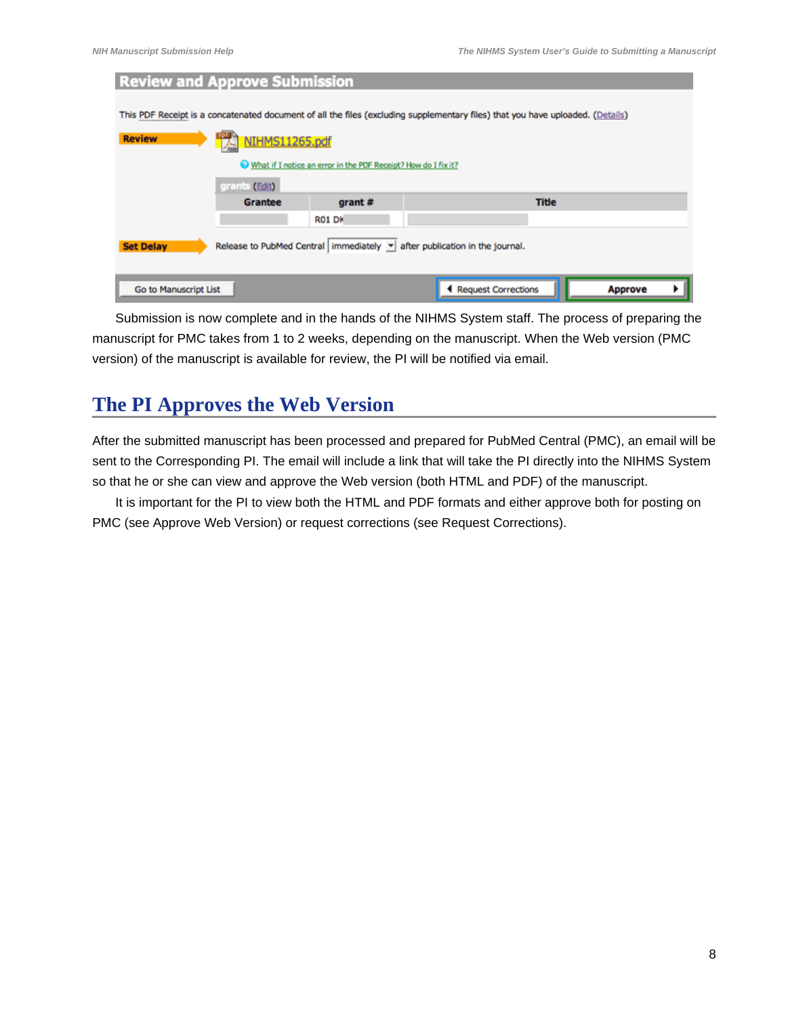| <b>Review and Approve Submission</b> |                |                                                                |                                                                                                                                |                |  |
|--------------------------------------|----------------|----------------------------------------------------------------|--------------------------------------------------------------------------------------------------------------------------------|----------------|--|
|                                      |                |                                                                |                                                                                                                                |                |  |
|                                      |                |                                                                | This PDF Receipt is a concatenated document of all the files (excluding supplementary files) that you have uploaded. (Details) |                |  |
| <b>Review</b>                        | NIHMS11265.pdf |                                                                |                                                                                                                                |                |  |
|                                      |                | What if I notice an error in the PDF Receipt? How do I fix it? |                                                                                                                                |                |  |
|                                      | grants (Edit)  |                                                                |                                                                                                                                |                |  |
|                                      | <b>Grantee</b> | grant #                                                        | <b>Title</b>                                                                                                                   |                |  |
|                                      |                | <b>R01 DK</b>                                                  |                                                                                                                                |                |  |
| <b>Set Delay</b>                     |                |                                                                | Release to PubMed Central   immediately $\  \mathbf{v} \ $ after publication in the journal.                                   |                |  |
| Go to Manuscript List                |                |                                                                | Request Corrections                                                                                                            | <b>Approve</b> |  |

Submission is now complete and in the hands of the NIHMS System staff. The process of preparing the manuscript for PMC takes from 1 to 2 weeks, depending on the manuscript. When the Web version (PMC version) of the manuscript is available for review, the PI will be notified via email.

# **The PI Approves the Web Version**

After the submitted manuscript has been processed and prepared for PubMed Central (PMC), an email will be sent to the Corresponding PI. The email will include a link that will take the PI directly into the NIHMS System so that he or she can view and approve the Web version (both HTML and PDF) of the manuscript.

It is important for the PI to view both the HTML and PDF formats and either approve both for posting on PMC (see [Approve Web Version\)](#page-8-0) or request corrections (see [Request Corrections](#page-9-0)).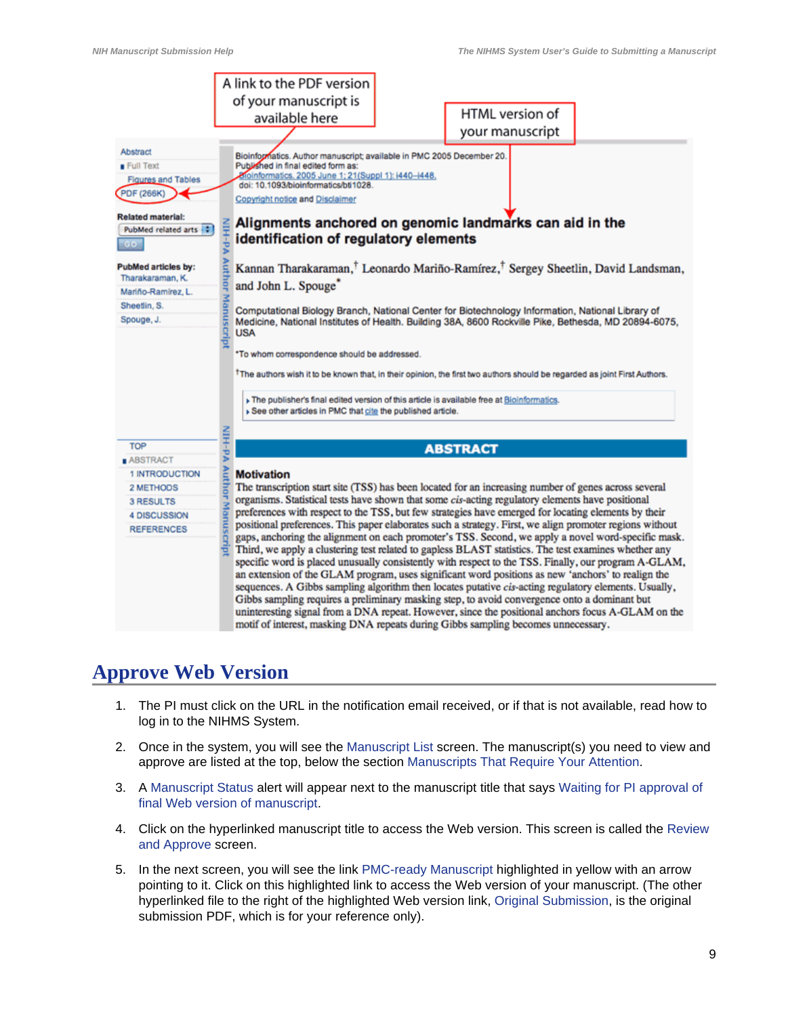<span id="page-8-0"></span>

## **Approve Web Version**

- 1. The PI must click on the URL in the notification email received, or if that is not available, [read](#page-0-0) how to log in to the NIHMS System.
- 2. Once in the system, you will see the Manuscript List screen. The manuscript(s) you need to view and approve are listed at the top, below the section Manuscripts That Require Your Attention.
- 3. A Manuscript Status alert will appear next to the manuscript title that says Waiting for PI approval of final Web version of manuscript.
- 4. Click on the hyperlinked manuscript title to access the Web version. This screen is called the Review and Approve screen.
- 5. In the next screen, you will see the link PMC-ready Manuscript highlighted in yellow with an arrow pointing to it. Click on this highlighted link to access the Web version of your manuscript. (The other hyperlinked file to the right of the highlighted Web version link, Original Submission, is the original submission PDF, which is for your reference only).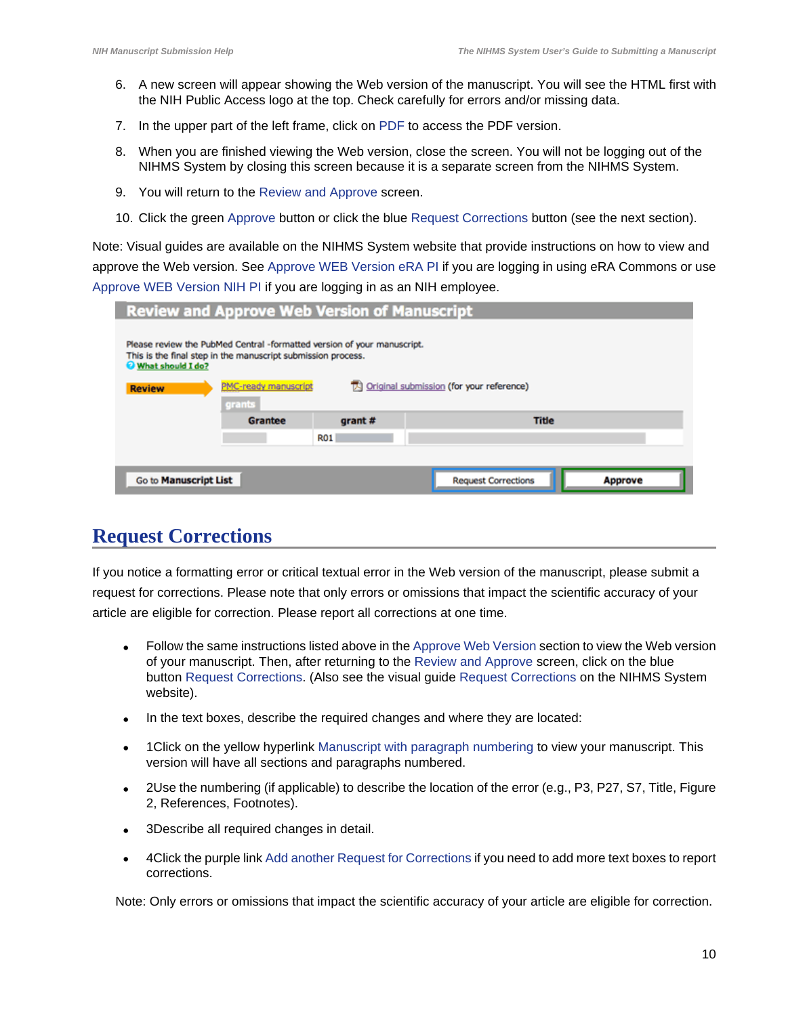- <span id="page-9-0"></span>6. A new screen will appear showing the Web version of the manuscript. You will see the HTML first with the NIH Public Access logo at the top. Check carefully for errors and/or missing data.
- 7. In the upper part of the left frame, click on PDF to access the PDF version.
- 8. When you are finished viewing the Web version, close the screen. You will not be logging out of the NIHMS System by closing this screen because it is a separate screen from the NIHMS System.
- 9. You will return to the Review and Approve screen.
- 10. Click the green Approve button or click the blue Request Corrections button (see the next section).

Note: Visual guides are available on the NIHMS System website that provide instructions on how to view and approve the Web version. See Approve WEB Version eRA PI if you are logging in using eRA Commons or use Approve WEB Version NIH PI if you are logging in as an NIH employee.

| <b>Review and Approve Web Version of Manuscript</b>                                                                                                                                                                           |                |            |                            |                |  |
|-------------------------------------------------------------------------------------------------------------------------------------------------------------------------------------------------------------------------------|----------------|------------|----------------------------|----------------|--|
| Please review the PubMed Central -formatted version of your manuscript.<br>This is the final step in the manuscript submission process.<br>What should I do?<br>PMC-ready manuscript<br>(for your reference)<br><b>Review</b> |                |            |                            |                |  |
|                                                                                                                                                                                                                               | grants         |            |                            |                |  |
|                                                                                                                                                                                                                               | <b>Grantee</b> | grant #    | <b>Title</b>               |                |  |
|                                                                                                                                                                                                                               |                | <b>R01</b> |                            |                |  |
|                                                                                                                                                                                                                               |                |            |                            |                |  |
| Go to Manuscript List                                                                                                                                                                                                         |                |            | <b>Request Corrections</b> | <b>Approve</b> |  |

## **Request Corrections**

If you notice a formatting error or critical textual error in the Web version of the manuscript, please submit a request for corrections. Please note that only errors or omissions that impact the scientific accuracy of your article are eligible for correction. Please report all corrections at one time.

- **•** Follow the same instructions listed above in the Approve Web Version section to view the Web version of your manuscript. Then, after returning to the Review and Approve screen, click on the blue button Request Corrections. (Also see the visual guide Request Corrections on the NIHMS System website).
- **•** In the text boxes, describe the required changes and where they are located:
- **•** 1Click on the yellow hyperlink Manuscript with paragraph numbering to view your manuscript. This version will have all sections and paragraphs numbered.
- **•** 2Use the numbering (if applicable) to describe the location of the error (e.g., P3, P27, S7, Title, Figure 2, References, Footnotes).
- **•** 3Describe all required changes in detail.
- **•** 4Click the purple link Add another Request for Corrections if you need to add more text boxes to report corrections.

Note: Only errors or omissions that impact the scientific accuracy of your article are eligible for correction.